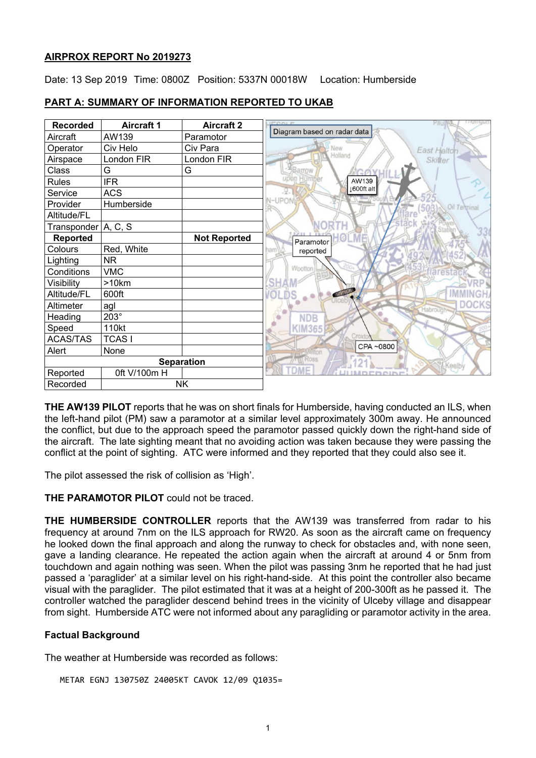## **AIRPROX REPORT No 2019273**

Date: 13 Sep 2019 Time: 0800Z Position: 5337N 00018W Location: Humberside



# **PART A: SUMMARY OF INFORMATION REPORTED TO UKAB**

**THE AW139 PILOT** reports that he was on short finals for Humberside, having conducted an ILS, when the left-hand pilot (PM) saw a paramotor at a similar level approximately 300m away. He announced the conflict, but due to the approach speed the paramotor passed quickly down the right-hand side of the aircraft. The late sighting meant that no avoiding action was taken because they were passing the conflict at the point of sighting. ATC were informed and they reported that they could also see it.

The pilot assessed the risk of collision as 'High'.

**THE PARAMOTOR PILOT** could not be traced.

**THE HUMBERSIDE CONTROLLER** reports that the AW139 was transferred from radar to his frequency at around 7nm on the ILS approach for RW20. As soon as the aircraft came on frequency he looked down the final approach and along the runway to check for obstacles and, with none seen, gave a landing clearance. He repeated the action again when the aircraft at around 4 or 5nm from touchdown and again nothing was seen. When the pilot was passing 3nm he reported that he had just passed a 'paraglider' at a similar level on his right-hand-side. At this point the controller also became visual with the paraglider. The pilot estimated that it was at a height of 200-300ft as he passed it. The controller watched the paraglider descend behind trees in the vicinity of Ulceby village and disappear from sight. Humberside ATC were not informed about any paragliding or paramotor activity in the area.

## **Factual Background**

The weather at Humberside was recorded as follows:

METAR EGNJ 130750Z 24005KT CAVOK 12/09 Q1035=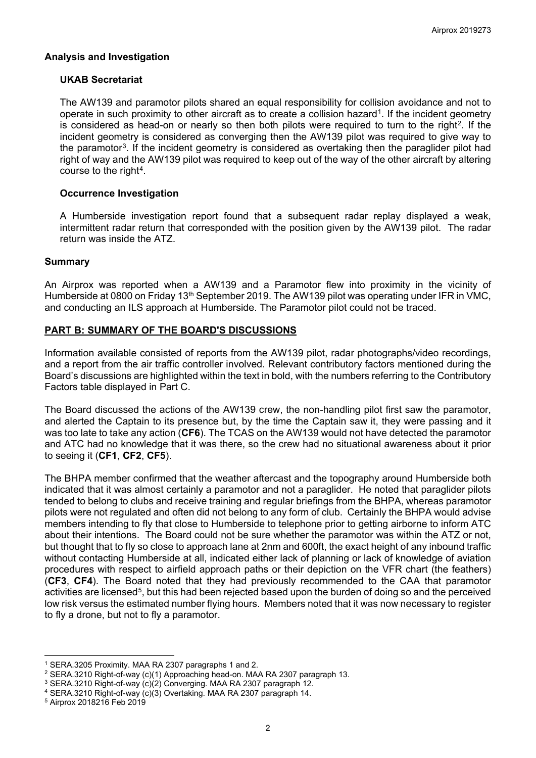## **Analysis and Investigation**

#### **UKAB Secretariat**

The AW139 and paramotor pilots shared an equal responsibility for collision avoidance and not to operate in such proximity to other aircraft as to create a collision hazard[1.](#page-1-0) If the incident geometry is considered as head-on or nearly so then both pilots were required to turn to the right<sup>2</sup>. If the incident geometry is considered as converging then the AW139 pilot was required to give way to the paramotor[3](#page-1-2). If the incident geometry is considered as overtaking then the paraglider pilot had right of way and the AW139 pilot was required to keep out of the way of the other aircraft by altering course to the right<sup>[4](#page-1-3)</sup>.

#### **Occurrence Investigation**

A Humberside investigation report found that a subsequent radar replay displayed a weak, intermittent radar return that corresponded with the position given by the AW139 pilot. The radar return was inside the ATZ.

#### **Summary**

An Airprox was reported when a AW139 and a Paramotor flew into proximity in the vicinity of Humberside at 0800 on Friday 13<sup>th</sup> September 2019. The AW139 pilot was operating under IFR in VMC, and conducting an ILS approach at Humberside. The Paramotor pilot could not be traced.

## **PART B: SUMMARY OF THE BOARD'S DISCUSSIONS**

Information available consisted of reports from the AW139 pilot, radar photographs/video recordings, and a report from the air traffic controller involved. Relevant contributory factors mentioned during the Board's discussions are highlighted within the text in bold, with the numbers referring to the Contributory Factors table displayed in Part C.

The Board discussed the actions of the AW139 crew, the non-handling pilot first saw the paramotor, and alerted the Captain to its presence but, by the time the Captain saw it, they were passing and it was too late to take any action (**CF6**). The TCAS on the AW139 would not have detected the paramotor and ATC had no knowledge that it was there, so the crew had no situational awareness about it prior to seeing it (**CF1**, **CF2**, **CF5**).

The BHPA member confirmed that the weather aftercast and the topography around Humberside both indicated that it was almost certainly a paramotor and not a paraglider. He noted that paraglider pilots tended to belong to clubs and receive training and regular briefings from the BHPA, whereas paramotor pilots were not regulated and often did not belong to any form of club. Certainly the BHPA would advise members intending to fly that close to Humberside to telephone prior to getting airborne to inform ATC about their intentions. The Board could not be sure whether the paramotor was within the ATZ or not, but thought that to fly so close to approach lane at 2nm and 600ft, the exact height of any inbound traffic without contacting Humberside at all, indicated either lack of planning or lack of knowledge of aviation procedures with respect to airfield approach paths or their depiction on the VFR chart (the feathers) (**CF3**, **CF4**). The Board noted that they had previously recommended to the CAA that paramotor activities are licensed<sup>5</sup>, but this had been rejected based upon the burden of doing so and the perceived low risk versus the estimated number flying hours. Members noted that it was now necessary to register to fly a drone, but not to fly a paramotor.

 $\overline{\phantom{a}}$ <sup>1</sup> SERA.3205 Proximity. MAA RA 2307 paragraphs 1 and 2.

<span id="page-1-1"></span><span id="page-1-0"></span><sup>&</sup>lt;sup>2</sup> SERA.3210 Right-of-way (c)(1) Approaching head-on. MAA RA 2307 paragraph 13.

<span id="page-1-2"></span><sup>3</sup> SERA.3210 Right-of-way (c)(2) Converging. MAA RA 2307 paragraph 12.

<span id="page-1-3"></span><sup>4</sup> SERA.3210 Right-of-way (c)(3) Overtaking. MAA RA 2307 paragraph 14.

<span id="page-1-4"></span><sup>5</sup> Airprox 2018216 Feb 2019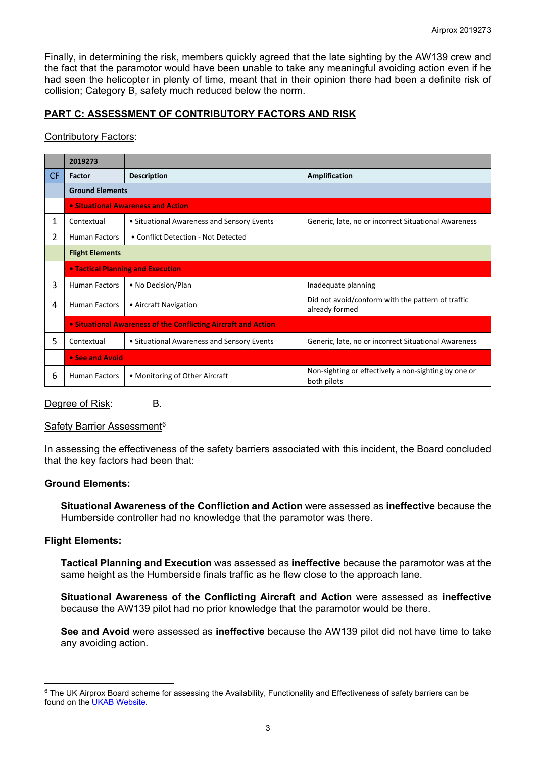Finally, in determining the risk, members quickly agreed that the late sighting by the AW139 crew and the fact that the paramotor would have been unable to take any meaningful avoiding action even if he had seen the helicopter in plenty of time, meant that in their opinion there had been a definite risk of collision; Category B, safety much reduced below the norm.

## **PART C: ASSESSMENT OF CONTRIBUTORY FACTORS AND RISK**

## Contributory Factors:

|           | 2019273                                                        |                                            |                                                                     |
|-----------|----------------------------------------------------------------|--------------------------------------------|---------------------------------------------------------------------|
| <b>CF</b> | Factor                                                         | <b>Description</b>                         | Amplification                                                       |
|           | <b>Ground Elements</b>                                         |                                            |                                                                     |
|           | • Situational Awareness and Action                             |                                            |                                                                     |
| 1         | Contextual                                                     | • Situational Awareness and Sensory Events | Generic, late, no or incorrect Situational Awareness                |
| 2         | <b>Human Factors</b>                                           | • Conflict Detection - Not Detected        |                                                                     |
|           | <b>Flight Elements</b>                                         |                                            |                                                                     |
|           | <b>• Tactical Planning and Execution</b>                       |                                            |                                                                     |
| 3         | <b>Human Factors</b>                                           | • No Decision/Plan                         | Inadequate planning                                                 |
| 4         | <b>Human Factors</b>                                           | • Aircraft Navigation                      | Did not avoid/conform with the pattern of traffic<br>already formed |
|           | • Situational Awareness of the Conflicting Aircraft and Action |                                            |                                                                     |
| 5         | Contextual                                                     | • Situational Awareness and Sensory Events | Generic, late, no or incorrect Situational Awareness                |
|           | • See and Avoid                                                |                                            |                                                                     |
| 6         | <b>Human Factors</b>                                           | • Monitoring of Other Aircraft             | Non-sighting or effectively a non-sighting by one or<br>both pilots |

Degree of Risk: B.

#### Safety Barrier Assessment<sup>[6](#page-2-0)</sup>

In assessing the effectiveness of the safety barriers associated with this incident, the Board concluded that the key factors had been that:

#### **Ground Elements:**

**Situational Awareness of the Confliction and Action** were assessed as **ineffective** because the Humberside controller had no knowledge that the paramotor was there.

## **Flight Elements:**

**Tactical Planning and Execution** was assessed as **ineffective** because the paramotor was at the same height as the Humberside finals traffic as he flew close to the approach lane.

**Situational Awareness of the Conflicting Aircraft and Action** were assessed as **ineffective** because the AW139 pilot had no prior knowledge that the paramotor would be there.

**See and Avoid** were assessed as **ineffective** because the AW139 pilot did not have time to take any avoiding action.

<span id="page-2-0"></span> $\overline{\phantom{a}}$ <sup>6</sup> The UK Airprox Board scheme for assessing the Availability, Functionality and Effectiveness of safety barriers can be found on the [UKAB Website.](http://www.airproxboard.org.uk/Learn-more/Airprox-Barrier-Assessment/)